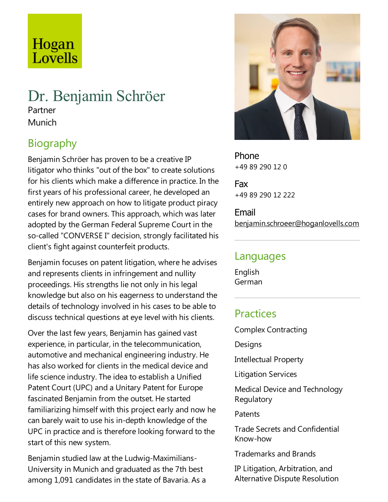# Hogan Lovells

### Dr. Benjamin Schröer Partner Munich

## Biography

Benjamin Schröer has proven to be a creative IP litigator who thinks "out of the box" to create solutions for his clients which make a difference in practice. In the first years of his professional career, he developed an entirely new approach on how to litigate product piracy cases for brand owners.This approach, which was later adopted by the German Federal Supreme Court in the so-called "CONVERSE I" decision, strongly facilitated his client's fight against counterfeit products.

Benjamin focuses on patent litigation, where he advises and represents clients in infringement and nullity proceedings. His strengths lie not only in his legal knowledge but also on his eagerness to understand the details of technology involved in his cases to be able to discuss technical questions at eye level with his clients.

Over the last few years, Benjamin has gained vast experience, in particular, in the telecommunication, automotive and mechanical engineering industry. He has also worked for clients in the medical device and life science industry. The idea to establish a Unified Patent Court (UPC) and a Unitary Patent for Europe fascinated Benjamin from the outset. He started familiarizing himself with this project early and now he can barely wait to use his in-depth knowledge of the UPC in practice and is therefore looking forward to the start of this new system.

Benjamin studied law at the Ludwig-Maximilians-University in Munich and graduated as the 7th best among 1,091 candidates in the state of Bavaria. As a



Phone +49 89 290 12 0

Fax +49 89 290 12 222

Email benjamin.schroeer@hoganlovells.com

#### Languages

English German

#### **Practices**

Complex Contracting

Designs

Intellectual Property

Litigation Services

Medical Device and Technology Regulatory

**Patents** 

Trade Secrets and Confidential Know-how

Trademarks and Brands

IP Litigation, Arbitration, and Alternative Dispute Resolution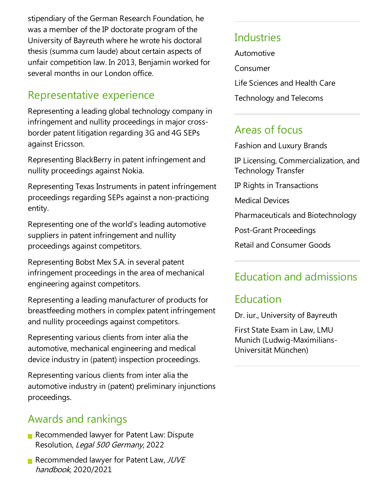stipendiary of the German Research Foundation, he was a member of the IP doctorate program of the University of Bayreuth where he wrote his doctoral thesis (summa cum laude) about certain aspects of unfair competition law. In 2013, Benjamin worked for several months in our London office.

### Representative experience

Representing aleading global technology company in infringement and nullity proceedings in major crossborder patent litigation regarding 3G and 4G SEPs against Ericsson.

Representing BlackBerry in patent infringement and nullity proceedings against Nokia.

Representing Texas Instruments in patent infringement proceedings regarding SEPs againsta non-practicing entity.

Representing one of the world's leading automotive suppliers in patent infringement and nullity proceedings against competitors.

Representing Bobst Mex S.A. in several patent infringement proceedings in the area of mechanical engineering against competitors.

Representing aleading manufacturer of products for breastfeeding mothers in complex patent infringement and nullity proceedings against competitors.

Representing various clients from inter alia the automotive, mechanical engineering and medical device industry in (patent) inspection proceedings.

Representing various clients from inter alia the automotive industry in (patent) preliminary injunctions proceedings.

## Awards and rankings

- Recommended lawyer for Patent Law: Dispute Resolution, Legal 500 Germany, 2022
- Recommended lawyer for Patent Law,  $JUVE$ handbook, 2020/2021

#### **Industries**

Automotive

Consumer

Life Sciences and Health Care

Technology and Telecoms

#### Areas of focus

Fashion and Luxury Brands

IP Licensing, Commercialization, and Technology Transfer

IP Rights in Transactions

Medical Devices

Pharmaceuticals and Biotechnology

Post-Grant Proceedings

Retail and Consumer Goods

## Education and admissions

#### Education

Dr. iur., University of Bayreuth

First State Exam in Law, LMU Munich (Ludwig-Maximilians-Universität München)